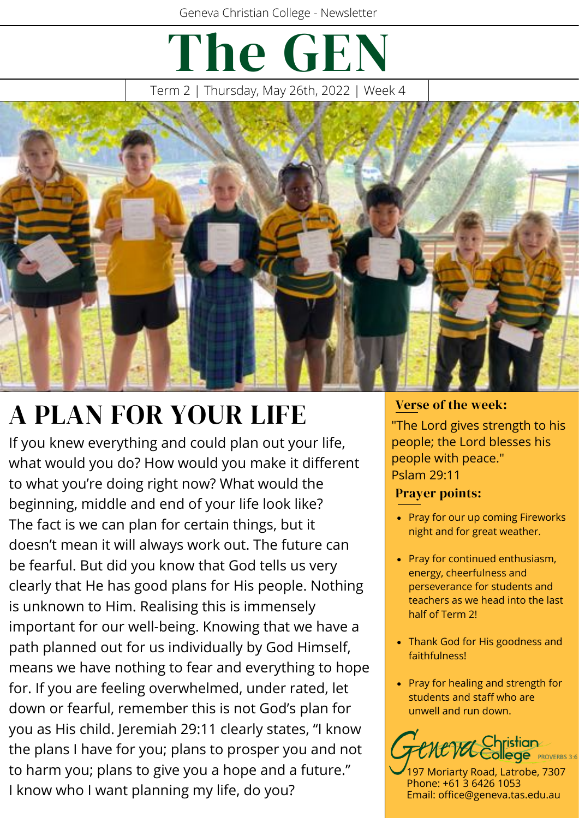# The GEN

Term 2 | Thursday, May 26th, 2022 | Week 4



## $A$  PLAN FOR YOUR LIFE  $\frac{V_{\text{erse of the week:}}}{V_{\text{The local circle}}}\$

If you knew everything and could plan out your life, what would you do? How would you make it different to what you're doing right now? What would the beginning, middle and end of your life look like? The fact is we can plan for certain things, but it doesn't mean it will always work out. The future can be fearful. But did you know that God tells us very clearly that He has good plans for His people. Nothing is unknown to Him. Realising this is immensely important for our well-being. Knowing that we have a path planned out for us individually by God Himself, means we have nothing to fear and everything to hope for. If you are feeling overwhelmed, under rated, let down or fearful, remember this is not God's plan for you as His child. Jeremiah 29:11 clearly states, "I know the plans I have for you; plans to prosper you and not to harm you; plans to give you a hope and a future." I know who I want planning my life, do you?

"The Lord gives strength to his people; the Lord blesses his people with peace." Pslam 29:11

#### Prayer points:

- Pray for our up coming Fireworks night and for great weather.
- Pray for continued enthusiasm, energy, cheerfulness and perseverance for students and teachers as we head into the last half of Term 2!
- Thank God for His goodness and faithfulness!
- Pray for healing and strength for students and staff who are unwell and run down.



197 Moriarty Road, Latrobe, 7307 Phone: +61 3 6426 1053 Email: office@geneva.tas.edu.au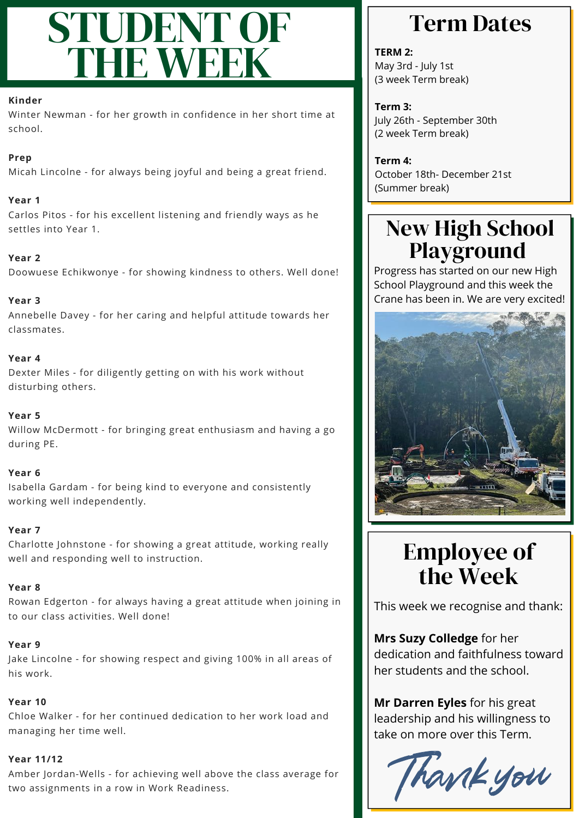## STUDENT OF THE WEEK

#### **Kinder**

Winter Newman - for her growth in confidence in her short time at school.

#### **Prep**

Micah Lincolne - for always being joyful and being a great friend.

#### **Year 1**

Carlos Pitos - for his excellent listening and friendly ways as he settles into Year 1.

#### **Year 2**

Doowuese Echikwonye - for showing kindness to others. Well done!

#### **Year 3**

Annebelle Davey - for her caring and helpful attitude towards her classmates.

#### **Year 4**

Dexter Miles - for diligently getting on with his work without disturbing others.

#### **Year 5**

Willow McDermott - for bringing great enthusiasm and having a go during PE.

#### **Year 6**

Isabella Gardam - for being kind to everyone and consistently working well independently.

#### **Year 7**

Charlotte Johnstone - for showing a great attitude, working really well and responding well to instruction.

#### **Year 8**

Rowan Edgerton - for always having a great attitude when joining in to our class activities. Well done!

#### **Year 9**

Jake Lincolne - for showing respect and giving 100% in all areas of his work.

#### **Year 10**

Chloe Walker - for her continued dedication to her work load and managing her time well.

#### **Year 11/12**

Amber Jordan-Wells - for achieving well above the class average for two assignments in a row in Work Readiness.

### Term Dates

**TERM 2:** May 3rd - July 1st (3 week Term break)

**Term 3:** July 26th - September 30th (2 week Term break)

**Term 4:** October 18th- December 21st (Summer break)

### New High School Playground

Progress has started on our new High School Playground and this week the Crane has been in. We are very excited!



## Employee of the Week

This week we recognise and thank:

**Mrs Suzy Colledge** for her dedication and faithfulness toward her students and the school.

**Mr Darren Eyles** for his great leadership and his willingness to take on more over this Term.

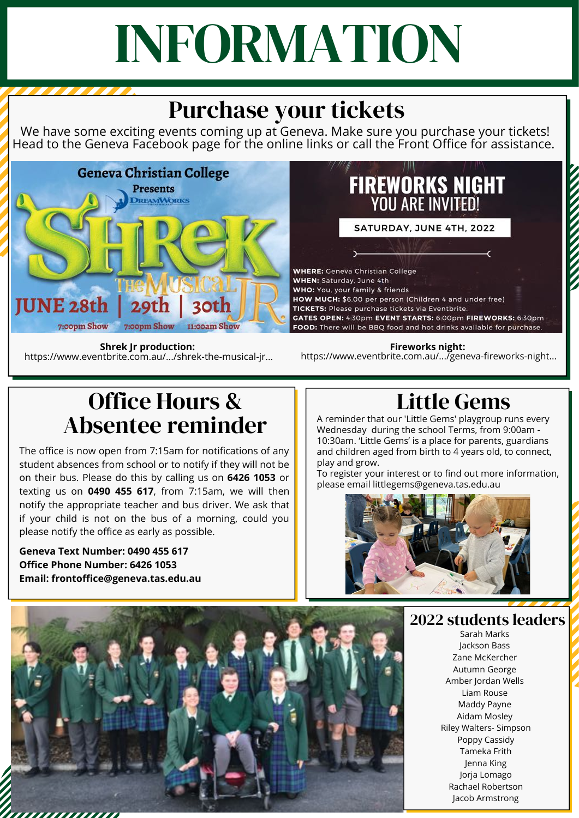# INFORMATION

## Purchase your tickets

We have some exciting events coming up at Geneva. Make sure you purchase your tickets! Head to the Geneva Facebook page for the online links or call the Front Office for assistance.



https://www.eventbrite.com.au/.../shrek-the-musical-jr...

## **FIREWORKS NIGHT**<br>YOU ARE INVITED!

SATURDAY, JUNE 4TH, 2022

**CONTRACTOR** 

**WHERE:** Geneva Christian College WHEN: Saturday, June 4th WHO: You, your family & friends HOW MUCH: \$6.00 per person (Children 4 and under free) TICKETS: Please purchase tickets via Eventbrite. GATES OPEN: 4:30pm EVENT STARTS: 6:00pm FIREWORKS: 6:30pm FOOD: There will be BBQ food and hot drinks available for purchase.

**Fireworks night: Shrek Jr production:**<br>https://www.eventbrite.com.au/.../geneva-fireworks-night... **Shrek Index** https://www.eventbrite.com.au/.../geneva-fireworks-night...

## Office Hours & Absentee reminder

The office is now open from 7:15am for notifications of any student absences from school or to notify if they will not be on their bus. Please do this by calling us on **6426 1053** or texting us on **0490 455 617**, from 7:15am, we will then notify the appropriate teacher and bus driver. We ask that if your child is not on the bus of a morning, could you please notify the office as early as possible.

**Geneva Text Number: 0490 455 617 Office Phone Number: 6426 1053 Email: frontoffice@geneva.tas.edu.au**

## Little Gems

A reminder that our 'Little Gems' playgroup runs every Wednesday during the school Terms, from 9:00am - 10:30am. 'Little Gems' is a place for parents, guardians and children aged from birth to 4 years old, to connect, play and grow.

To register your interest or to find out more information, please email littlegems@geneva.tas.edu.au



2022 students leaders

Sarah Marks Jackson Bass Zane McKercher Autumn George Amber Jordan Wells Liam Rouse Maddy Payne Aidam Mosley Riley Walters- Simpson Poppy Cassidy Tameka Frith Jenna King Jorja Lomago Rachael Robertson Jacob Armstrong

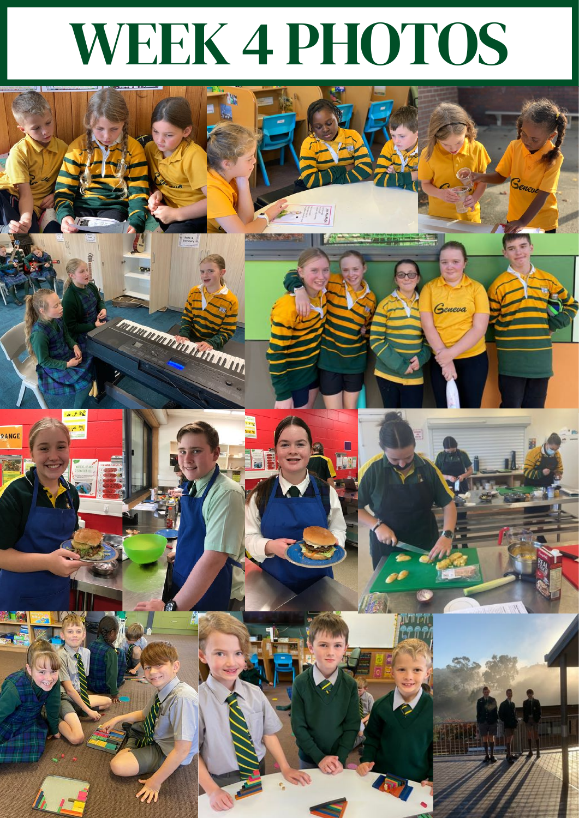# WEEK 4 PHOTOS

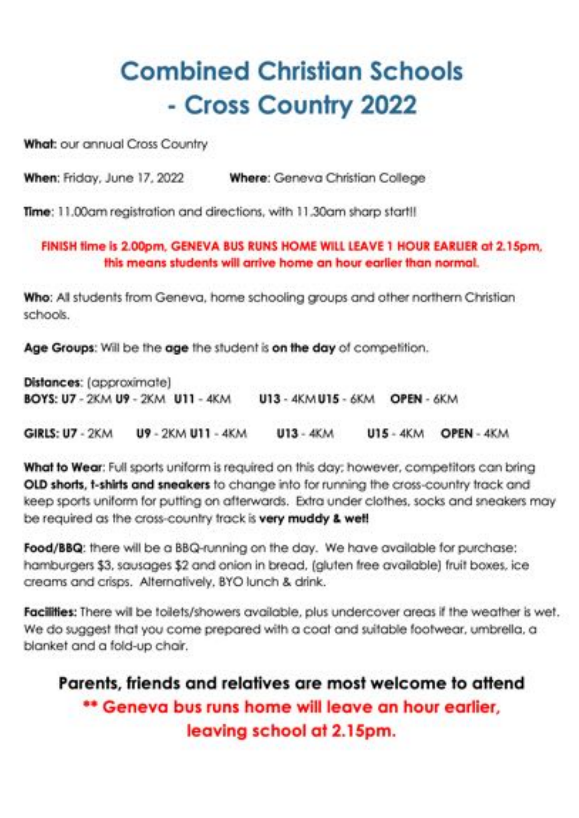## **Combined Christian Schools** - Cross Country 2022

What: our annual Cross Country

When: Friday, June 17, 2022 Where: Geneva Christian College

Time: 11,00am registration and directions, with 11,30am sharp start!!

FINISH time is 2.00pm, GENEVA BUS RUNS HOME WILL LEAVE 1 HOUR EARLIER at 2.15pm, this means students will arrive home an hour earlier than normal.

Who: All students from Geneva, home schooling groups and other northern Christian schools.

Age Groups: Will be the age the student is on the day of competition.

Distances: (approximate) BOYS: U7 - 2KM U9 - 2KM U11 - 4KM U13 - 4KM U15 - 6KM OPEN - 6KM

U9 - 2KM U11 - 4KM **GIRLS: U7 - 2KM**  $U13 - 4KM$ **U15 - 4KM OPEN - 4KM** 

What to Wear: Full sports uniform is required on this day; however, competitors can bring OLD shorts, t-shirts and sneakers to change into for running the cross-country track and keep sports uniform for putting on afterwards. Extra under clothes, socks and sneakers may be required as the cross-country track is very muddy & well

Food/BBQ: there will be a BBQ-running on the day. We have available for purchase: hamburgers \$3, sausages \$2 and onion in bread, (gluten free available) fruit boxes, ice creams and crisps. Alternatively, BYO lunch & drink.

Facilities: There will be toilets/showers available, plus undercover areas if the weather is wet. We do suggest that you come prepared with a coat and suitable footwear, umbrella, a blanket and a fold-up chair.

### Parents, friends and relatives are most welcome to attend \*\* Geneva bus runs home will leave an hour earlier, leaving school at 2.15pm.